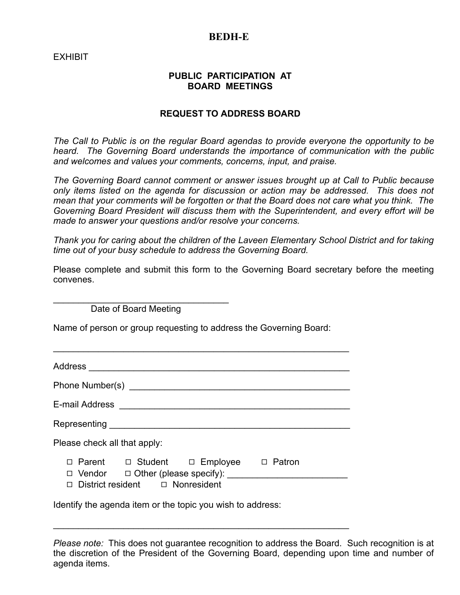## **BEDH-E**

EXHIBIT

## **PUBLIC PARTICIPATION AT BOARD MEETINGS**

## **REQUEST TO ADDRESS BOARD**

*The Call to Public is on the regular Board agendas to provide everyone the opportunity to be heard. The Governing Board understands the importance of communication with the public and welcomes and values your comments, concerns, input, and praise.*

*The Governing Board cannot comment or answer issues brought up at Call to Public because only items listed on the agenda for discussion or action may be addressed. This does not mean that your comments will be forgotten or that the Board does not care what you think. The Governing Board President will discuss them with the Superintendent, and every effort will be made to answer your questions and/or resolve your concerns.*

*Thank you for caring about the children of the Laveen Elementary School District and for taking time out of your busy schedule to address the Governing Board.*

|           |  |  |  | Please complete and submit this form to the Governing Board secretary before the meeting |  |  |  |
|-----------|--|--|--|------------------------------------------------------------------------------------------|--|--|--|
| convenes. |  |  |  |                                                                                          |  |  |  |

\_\_\_\_\_\_\_\_\_\_\_\_\_\_\_\_\_\_\_\_\_\_\_\_\_\_\_\_\_\_\_\_\_\_\_ Date of Board Meeting

Name of person or group requesting to address the Governing Board:

\_\_\_\_\_\_\_\_\_\_\_\_\_\_\_\_\_\_\_\_\_\_\_\_\_\_\_\_\_\_\_\_\_\_\_\_\_\_\_\_\_\_\_\_\_\_\_\_\_\_\_\_\_\_\_\_\_\_\_

| Address                                                                                                                       |  |  |  |  |  |  |  |  |
|-------------------------------------------------------------------------------------------------------------------------------|--|--|--|--|--|--|--|--|
|                                                                                                                               |  |  |  |  |  |  |  |  |
| E-mail Address                                                                                                                |  |  |  |  |  |  |  |  |
|                                                                                                                               |  |  |  |  |  |  |  |  |
| Please check all that apply:                                                                                                  |  |  |  |  |  |  |  |  |
| □ Parent □ Student □ Employee □<br>Patron<br>$\Box$ Other (please specify):<br>Vendor<br>District resident $\Box$ Nonresident |  |  |  |  |  |  |  |  |

\_\_\_\_\_\_\_\_\_\_\_\_\_\_\_\_\_\_\_\_\_\_\_\_\_\_\_\_\_\_\_\_\_\_\_\_\_\_\_\_\_\_\_\_\_\_\_\_\_\_\_\_\_\_\_\_\_\_\_

Identify the agenda item or the topic you wish to address:

*Please note:* This does not guarantee recognition to address the Board. Such recognition is at the discretion of the President of the Governing Board, depending upon time and number of agenda items.